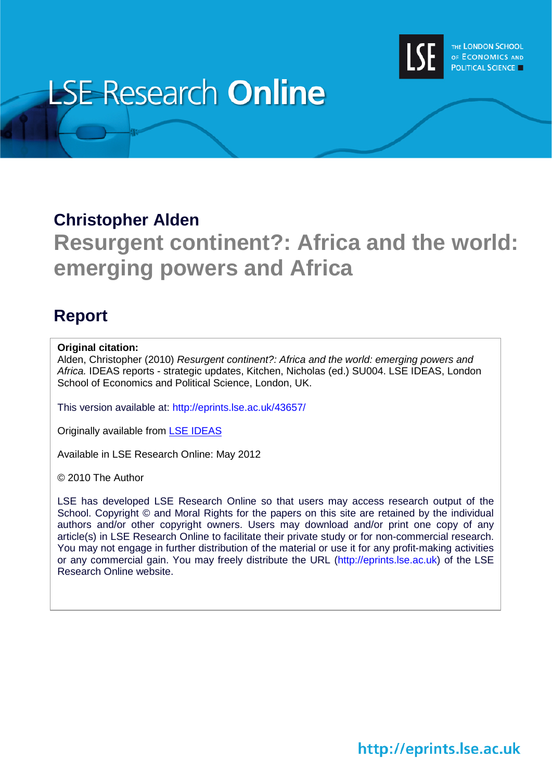

# **LSE Research Online**

## **Christopher Alden**

# **Resurgent continent?: Africa and the world: emerging powers and Africa**

# **Report**

#### **Original citation:**

Alden, Christopher (2010) *Resurgent continent?: Africa and the world: emerging powers and Africa.* IDEAS reports - strategic updates, Kitchen, Nicholas (ed.) SU004. LSE IDEAS, London School of Economics and Political Science, London, UK.

This version available at: http://eprints.lse.ac.uk/43657/

Originally available from [LSE IDEAS](http://www2.lse.ac.uk/IDEAS/Home.aspx)

Available in LSE Research Online: May 2012

© 2010 The Author

LSE has developed LSE Research Online so that users may access research output of the School. Copyright © and Moral Rights for the papers on this site are retained by the individual authors and/or other copyright owners. Users may download and/or print one copy of any article(s) in LSE Research Online to facilitate their private study or for non-commercial research. You may not engage in further distribution of the material or use it for any profit-making activities or any commercial gain. You may freely distribute the URL (http://eprints.lse.ac.uk) of the LSE Research Online website.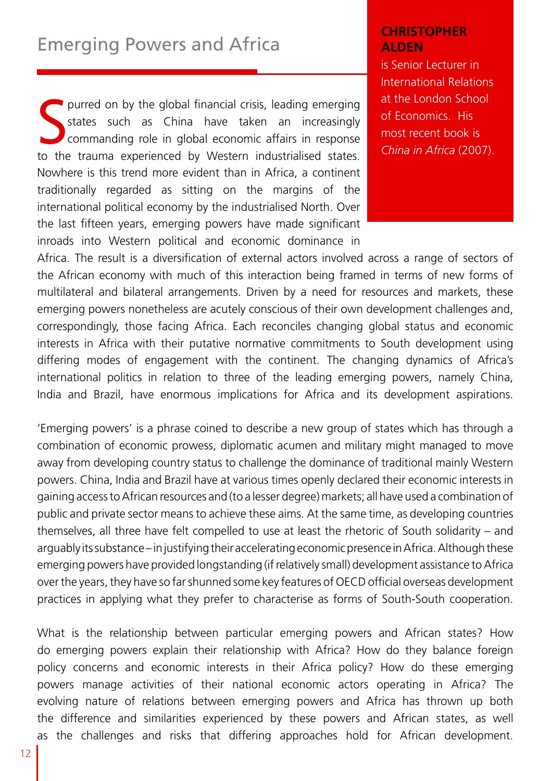### Emerging Powers and Africa

Surved on by the global financial crisis, leading emerging<br>states such as China have taken an increasingly<br>commanding role in global economic affairs in response<br>to the trauma experienced by Western industrialised states. purred on by the global financial crisis, leading emerging states such as China have taken an increasingly commanding role in global economic affairs in response Nowhere is this trend more evident than in Africa, a continent traditionally regarded as sitting on the margins of the international political economy by the industrialised North. Over the last fifteen years, emerging powers have made significant inroads into Western political and economic dominance in

#### **CHRISTOPHER ALDEN**

is Senior Lecturer in International Relations at the London School of Economics. His most recent book is *China in Africa* (2007).

Africa. The result is a diversification of external actors involved across a range of sectors of the African economy with much of this interaction being framed in terms of new forms of multilateral and bilateral arrangements. Driven by a need for resources and markets, these emerging powers nonetheless are acutely conscious of their own development challenges and, correspondingly, those facing Africa. Each reconciles changing global status and economic interests in Africa with their putative normative commitments to South development using differing modes of engagement with the continent. The changing dynamics of Africa's international politics in relation to three of the leading emerging powers, namely China, India and Brazil, have enormous implications for Africa and its development aspirations.

'Emerging powers' is a phrase coined to describe a new group of states which has through a combination of economic prowess, diplomatic acumen and military might managed to move away from developing country status to challenge the dominance of traditional mainly Western powers. China, India and Brazil have at various times openly declared their economic interests in gaining access to African resources and (to a lesser degree) markets; all have used a combination of public and private sector means to achieve these aims. At the same time, as developing countries themselves, all three have felt compelled to use at least the rhetoric of South solidarity – and arguably its substance – in justifying their accelerating economic presence in Africa. Although these emerging powers have provided longstanding (if relatively small) development assistance to Africa over the years, they have so far shunned some key features of OECD official overseas development practices in applying what they prefer to characterise as forms of South-South cooperation.

What is the relationship between particular emerging powers and African states? How do emerging powers explain their relationship with Africa? How do they balance foreign policy concerns and economic interests in their Africa policy? How do these emerging powers manage activities of their national economic actors operating in Africa? The evolving nature of relations between emerging powers and Africa has thrown up both the difference and similarities experienced by these powers and African states, as well as the challenges and risks that differing approaches hold for African development.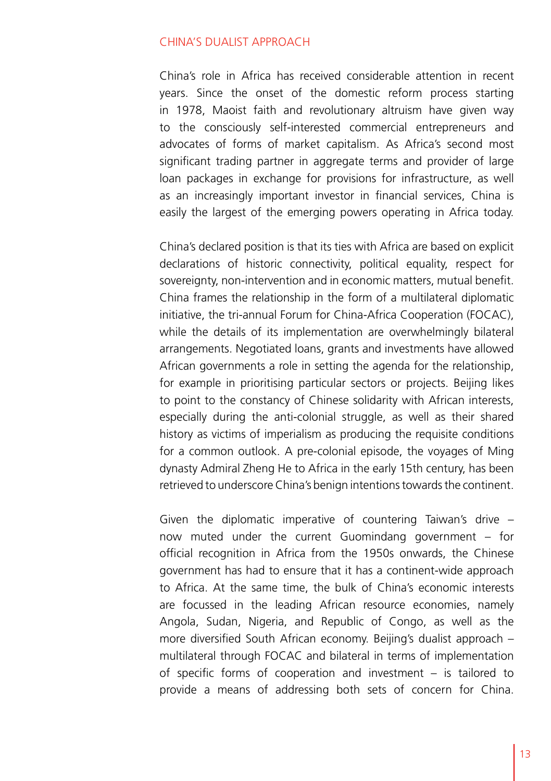#### CHINA'S DUALIST APPROACH

China's role in Africa has received considerable attention in recent years. Since the onset of the domestic reform process starting in 1978, Maoist faith and revolutionary altruism have given way to the consciously self-interested commercial entrepreneurs and advocates of forms of market capitalism. As Africa's second most significant trading partner in aggregate terms and provider of large loan packages in exchange for provisions for infrastructure, as well as an increasingly important investor in financial services, China is easily the largest of the emerging powers operating in Africa today.

China's declared position is that its ties with Africa are based on explicit declarations of historic connectivity, political equality, respect for sovereignty, non-intervention and in economic matters, mutual benefit. China frames the relationship in the form of a multilateral diplomatic initiative, the tri-annual Forum for China-Africa Cooperation (FOCAC), while the details of its implementation are overwhelmingly bilateral arrangements. Negotiated loans, grants and investments have allowed African governments a role in setting the agenda for the relationship, for example in prioritising particular sectors or projects. Beijing likes to point to the constancy of Chinese solidarity with African interests, especially during the anti-colonial struggle, as well as their shared history as victims of imperialism as producing the requisite conditions for a common outlook. A pre-colonial episode, the voyages of Ming dynasty Admiral Zheng He to Africa in the early 15th century, has been retrieved to underscore China's benign intentions towards the continent.

Given the diplomatic imperative of countering Taiwan's drive – now muted under the current Guomindang government – for official recognition in Africa from the 1950s onwards, the Chinese government has had to ensure that it has a continent-wide approach to Africa. At the same time, the bulk of China's economic interests are focussed in the leading African resource economies, namely Angola, Sudan, Nigeria, and Republic of Congo, as well as the more diversified South African economy. Beijing's dualist approach – multilateral through FOCAC and bilateral in terms of implementation of specific forms of cooperation and investment – is tailored to provide a means of addressing both sets of concern for China.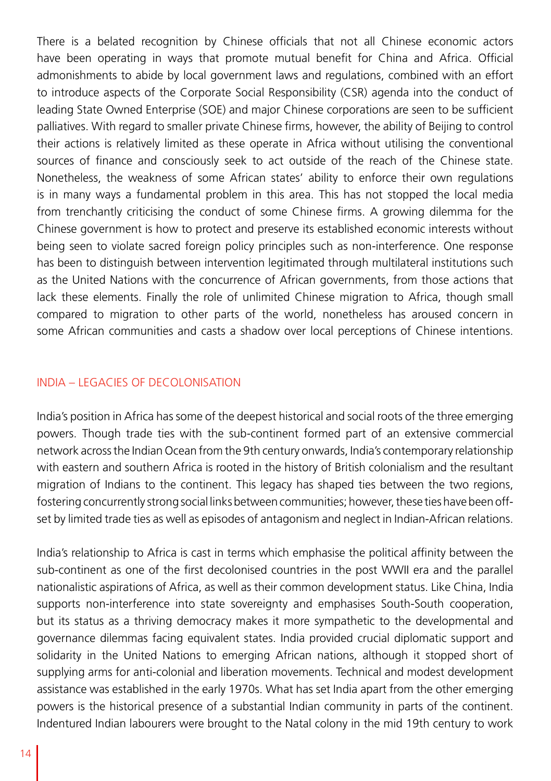There is a belated recognition by Chinese officials that not all Chinese economic actors have been operating in ways that promote mutual benefit for China and Africa. Official admonishments to abide by local government laws and regulations, combined with an effort to introduce aspects of the Corporate Social Responsibility (CSR) agenda into the conduct of leading State Owned Enterprise (SOE) and major Chinese corporations are seen to be sufficient palliatives. With regard to smaller private Chinese firms, however, the ability of Beijing to control their actions is relatively limited as these operate in Africa without utilising the conventional sources of finance and consciously seek to act outside of the reach of the Chinese state. Nonetheless, the weakness of some African states' ability to enforce their own regulations is in many ways a fundamental problem in this area. This has not stopped the local media from trenchantly criticising the conduct of some Chinese firms. A growing dilemma for the Chinese government is how to protect and preserve its established economic interests without being seen to violate sacred foreign policy principles such as non-interference. One response has been to distinguish between intervention legitimated through multilateral institutions such as the United Nations with the concurrence of African governments, from those actions that lack these elements. Finally the role of unlimited Chinese migration to Africa, though small compared to migration to other parts of the world, nonetheless has aroused concern in some African communities and casts a shadow over local perceptions of Chinese intentions.

#### INDIA – LEGACIES OF DECOLONISATION

India's position in Africa has some of the deepest historical and social roots of the three emerging powers. Though trade ties with the sub-continent formed part of an extensive commercial network across the Indian Ocean from the 9th century onwards, India's contemporary relationship with eastern and southern Africa is rooted in the history of British colonialism and the resultant migration of Indians to the continent. This legacy has shaped ties between the two regions, fostering concurrently strong social links between communities; however, these ties have been offset by limited trade ties as well as episodes of antagonism and neglect in Indian-African relations.

India's relationship to Africa is cast in terms which emphasise the political affinity between the sub-continent as one of the first decolonised countries in the post WWII era and the parallel nationalistic aspirations of Africa, as well as their common development status. Like China, India supports non-interference into state sovereignty and emphasises South-South cooperation, but its status as a thriving democracy makes it more sympathetic to the developmental and governance dilemmas facing equivalent states. India provided crucial diplomatic support and solidarity in the United Nations to emerging African nations, although it stopped short of supplying arms for anti-colonial and liberation movements. Technical and modest development assistance was established in the early 1970s. What has set India apart from the other emerging powers is the historical presence of a substantial Indian community in parts of the continent. Indentured Indian labourers were brought to the Natal colony in the mid 19th century to work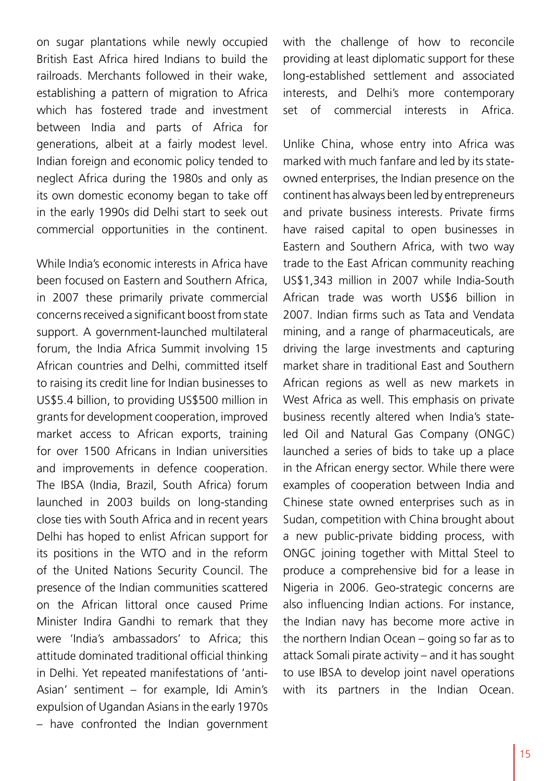on sugar plantations while newly occupied British East Africa hired Indians to build the railroads. Merchants followed in their wake, establishing a pattern of migration to Africa which has fostered trade and investment between India and parts of Africa for generations, albeit at a fairly modest level. Indian foreign and economic policy tended to neglect Africa during the 1980s and only as its own domestic economy began to take off in the early 1990s did Delhi start to seek out commercial opportunities in the continent.

While India's economic interests in Africa have been focused on Eastern and Southern Africa, in 2007 these primarily private commercial concerns received a significant boost from state support. A government-launched multilateral forum, the India Africa Summit involving 15 African countries and Delhi, committed itself to raising its credit line for Indian businesses to US\$5.4 billion, to providing US\$500 million in grants for development cooperation, improved market access to African exports, training for over 1500 Africans in Indian universities and improvements in defence cooperation. The IBSA (India, Brazil, South Africa) forum launched in 2003 builds on long-standing close ties with South Africa and in recent years Delhi has hoped to enlist African support for its positions in the WTO and in the reform of the United Nations Security Council. The presence of the Indian communities scattered on the African littoral once caused Prime Minister Indira Gandhi to remark that they were 'India's ambassadors' to Africa; this attitude dominated traditional official thinking in Delhi. Yet repeated manifestations of 'anti-Asian' sentiment – for example, Idi Amin's expulsion of Ugandan Asians in the early 1970s – have confronted the Indian government

with the challenge of how to reconcile providing at least diplomatic support for these long-established settlement and associated interests, and Delhi's more contemporary set of commercial interests in Africa.

Unlike China, whose entry into Africa was marked with much fanfare and led by its stateowned enterprises, the Indian presence on the continent has always been led by entrepreneurs and private business interests. Private firms have raised capital to open businesses in Eastern and Southern Africa, with two way trade to the East African community reaching US\$1,343 million in 2007 while India-South African trade was worth US\$6 billion in 2007. Indian firms such as Tata and Vendata mining, and a range of pharmaceuticals, are driving the large investments and capturing market share in traditional East and Southern African regions as well as new markets in West Africa as well. This emphasis on private business recently altered when India's stateled Oil and Natural Gas Company (ONGC) launched a series of bids to take up a place in the African energy sector. While there were examples of cooperation between India and Chinese state owned enterprises such as in Sudan, competition with China brought about a new public-private bidding process, with ONGC joining together with Mittal Steel to produce a comprehensive bid for a lease in Nigeria in 2006. Geo-strategic concerns are also influencing Indian actions. For instance, the Indian navy has become more active in the northern Indian Ocean – going so far as to attack Somali pirate activity – and it has sought to use IBSA to develop joint navel operations with its partners in the Indian Ocean.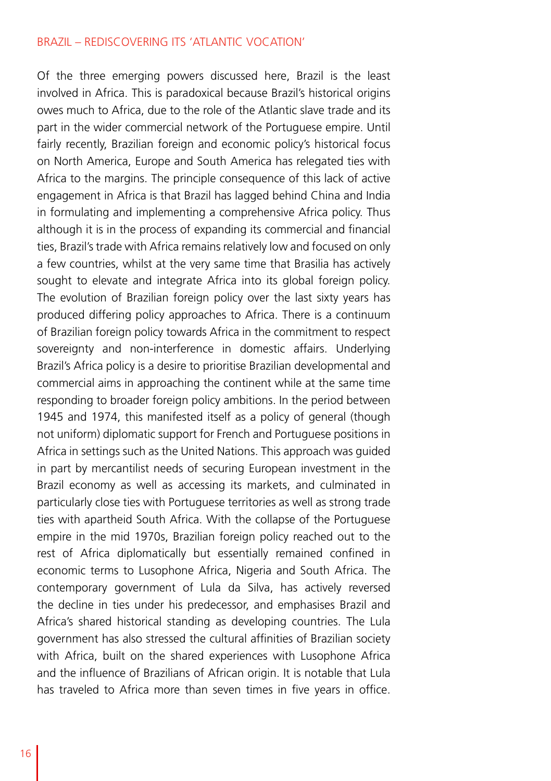#### BRAZIL – REDISCOVERING ITS 'ATLANTIC VOCATION'

Of the three emerging powers discussed here, Brazil is the least involved in Africa. This is paradoxical because Brazil's historical origins owes much to Africa, due to the role of the Atlantic slave trade and its part in the wider commercial network of the Portuguese empire. Until fairly recently, Brazilian foreign and economic policy's historical focus on North America, Europe and South America has relegated ties with Africa to the margins. The principle consequence of this lack of active engagement in Africa is that Brazil has lagged behind China and India in formulating and implementing a comprehensive Africa policy. Thus although it is in the process of expanding its commercial and financial ties, Brazil's trade with Africa remains relatively low and focused on only a few countries, whilst at the very same time that Brasilia has actively sought to elevate and integrate Africa into its global foreign policy. The evolution of Brazilian foreign policy over the last sixty years has produced differing policy approaches to Africa. There is a continuum of Brazilian foreign policy towards Africa in the commitment to respect sovereignty and non-interference in domestic affairs. Underlying Brazil's Africa policy is a desire to prioritise Brazilian developmental and commercial aims in approaching the continent while at the same time responding to broader foreign policy ambitions. In the period between 1945 and 1974, this manifested itself as a policy of general (though not uniform) diplomatic support for French and Portuguese positions in Africa in settings such as the United Nations. This approach was guided in part by mercantilist needs of securing European investment in the Brazil economy as well as accessing its markets, and culminated in particularly close ties with Portuguese territories as well as strong trade ties with apartheid South Africa. With the collapse of the Portuguese empire in the mid 1970s, Brazilian foreign policy reached out to the rest of Africa diplomatically but essentially remained confined in economic terms to Lusophone Africa, Nigeria and South Africa. The contemporary government of Lula da Silva, has actively reversed the decline in ties under his predecessor, and emphasises Brazil and Africa's shared historical standing as developing countries. The Lula government has also stressed the cultural affinities of Brazilian society with Africa, built on the shared experiences with Lusophone Africa and the influence of Brazilians of African origin. It is notable that Lula has traveled to Africa more than seven times in five years in office.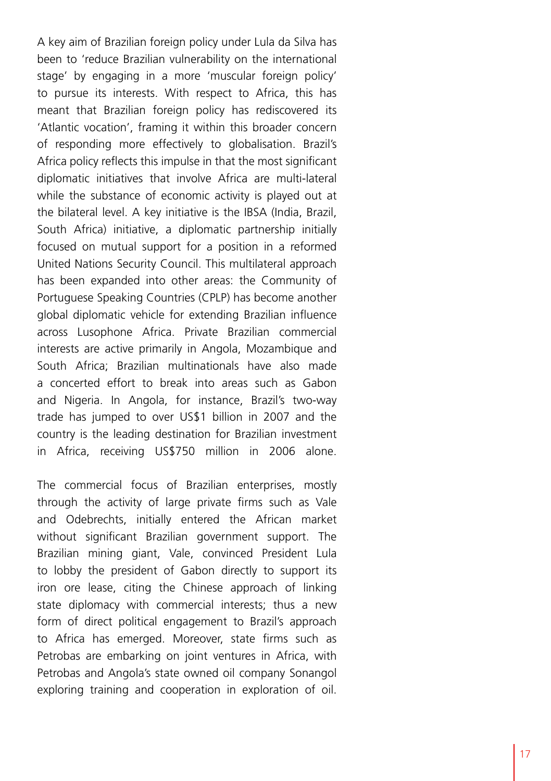A key aim of Brazilian foreign policy under Lula da Silva has been to 'reduce Brazilian vulnerability on the international stage' by engaging in a more 'muscular foreign policy' to pursue its interests. With respect to Africa, this has meant that Brazilian foreign policy has rediscovered its 'Atlantic vocation', framing it within this broader concern of responding more effectively to globalisation. Brazil's Africa policy reflects this impulse in that the most significant diplomatic initiatives that involve Africa are multi-lateral while the substance of economic activity is played out at the bilateral level. A key initiative is the IBSA (India, Brazil, South Africa) initiative, a diplomatic partnership initially focused on mutual support for a position in a reformed United Nations Security Council. This multilateral approach has been expanded into other areas: the Community of Portuguese Speaking Countries (CPLP) has become another global diplomatic vehicle for extending Brazilian influence across Lusophone Africa. Private Brazilian commercial interests are active primarily in Angola, Mozambique and South Africa; Brazilian multinationals have also made a concerted effort to break into areas such as Gabon and Nigeria. In Angola, for instance, Brazil's two-way trade has jumped to over US\$1 billion in 2007 and the country is the leading destination for Brazilian investment in Africa, receiving US\$750 million in 2006 alone.

The commercial focus of Brazilian enterprises, mostly through the activity of large private firms such as Vale and Odebrechts, initially entered the African market without significant Brazilian government support. The Brazilian mining giant, Vale, convinced President Lula to lobby the president of Gabon directly to support its iron ore lease, citing the Chinese approach of linking state diplomacy with commercial interests; thus a new form of direct political engagement to Brazil's approach to Africa has emerged. Moreover, state firms such as Petrobas are embarking on joint ventures in Africa, with Petrobas and Angola's state owned oil company Sonangol exploring training and cooperation in exploration of oil.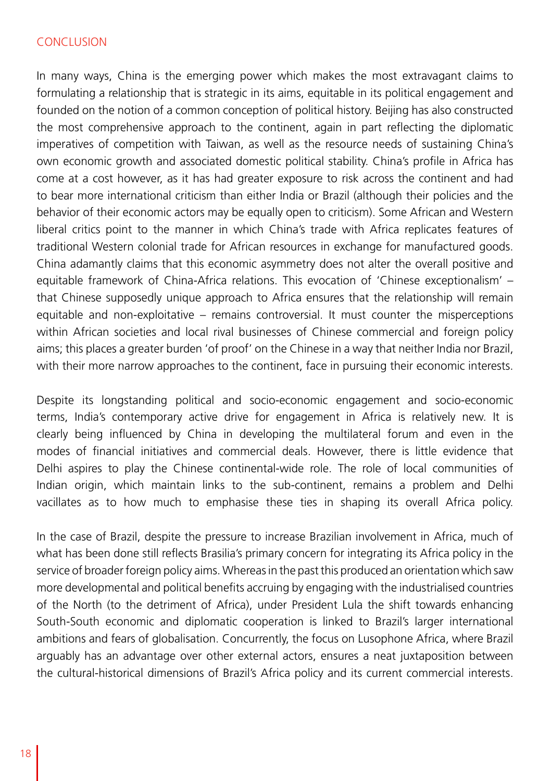#### CONCLUSION

In many ways, China is the emerging power which makes the most extravagant claims to formulating a relationship that is strategic in its aims, equitable in its political engagement and founded on the notion of a common conception of political history. Beijing has also constructed the most comprehensive approach to the continent, again in part reflecting the diplomatic imperatives of competition with Taiwan, as well as the resource needs of sustaining China's own economic growth and associated domestic political stability. China's profile in Africa has come at a cost however, as it has had greater exposure to risk across the continent and had to bear more international criticism than either India or Brazil (although their policies and the behavior of their economic actors may be equally open to criticism). Some African and Western liberal critics point to the manner in which China's trade with Africa replicates features of traditional Western colonial trade for African resources in exchange for manufactured goods. China adamantly claims that this economic asymmetry does not alter the overall positive and equitable framework of China-Africa relations. This evocation of 'Chinese exceptionalism' – that Chinese supposedly unique approach to Africa ensures that the relationship will remain equitable and non-exploitative – remains controversial. It must counter the misperceptions within African societies and local rival businesses of Chinese commercial and foreign policy aims; this places a greater burden 'of proof' on the Chinese in a way that neither India nor Brazil, with their more narrow approaches to the continent, face in pursuing their economic interests.

Despite its longstanding political and socio-economic engagement and socio-economic terms, India's contemporary active drive for engagement in Africa is relatively new. It is clearly being influenced by China in developing the multilateral forum and even in the modes of financial initiatives and commercial deals. However, there is little evidence that Delhi aspires to play the Chinese continental-wide role. The role of local communities of Indian origin, which maintain links to the sub-continent, remains a problem and Delhi vacillates as to how much to emphasise these ties in shaping its overall Africa policy.

In the case of Brazil, despite the pressure to increase Brazilian involvement in Africa, much of what has been done still reflects Brasilia's primary concern for integrating its Africa policy in the service of broader foreign policy aims. Whereas in the past this produced an orientation which saw more developmental and political benefits accruing by engaging with the industrialised countries of the North (to the detriment of Africa), under President Lula the shift towards enhancing South-South economic and diplomatic cooperation is linked to Brazil's larger international ambitions and fears of globalisation. Concurrently, the focus on Lusophone Africa, where Brazil arguably has an advantage over other external actors, ensures a neat juxtaposition between the cultural-historical dimensions of Brazil's Africa policy and its current commercial interests.